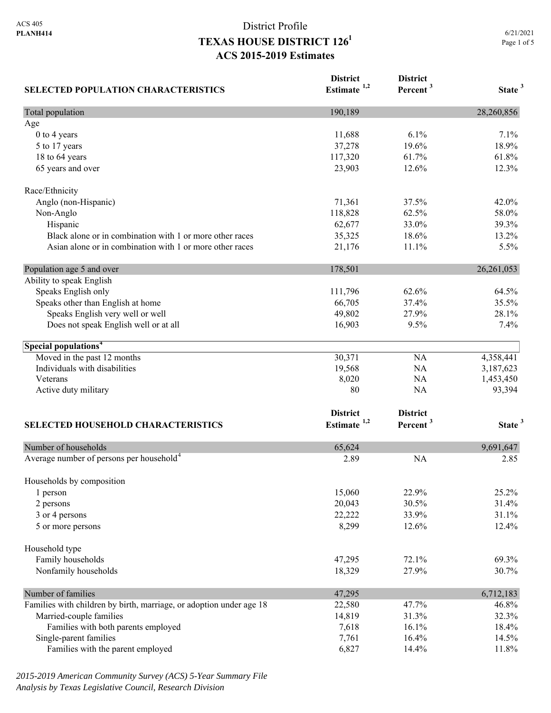# District Profile **TEXAS HOUSE DISTRICT 1261 ACS 2015-2019 Estimates**

| <b>SELECTED POPULATION CHARACTERISTICS</b>                          | <b>District</b><br>Estimate $1,2$ | <b>District</b><br>Percent <sup>3</sup> | State <sup>3</sup> |
|---------------------------------------------------------------------|-----------------------------------|-----------------------------------------|--------------------|
| Total population                                                    | 190,189                           |                                         | 28,260,856         |
| Age                                                                 |                                   |                                         |                    |
| $0$ to $4$ years                                                    | 11,688                            | 6.1%                                    | 7.1%               |
| 5 to 17 years                                                       | 37,278                            | 19.6%                                   | 18.9%              |
| 18 to 64 years                                                      | 117,320                           | 61.7%                                   | 61.8%              |
| 65 years and over                                                   | 23,903                            | 12.6%                                   | 12.3%              |
| Race/Ethnicity                                                      |                                   |                                         |                    |
| Anglo (non-Hispanic)                                                | 71,361                            | 37.5%                                   | 42.0%              |
| Non-Anglo                                                           | 118,828                           | 62.5%                                   | 58.0%              |
| Hispanic                                                            | 62,677                            | 33.0%                                   | 39.3%              |
| Black alone or in combination with 1 or more other races            | 35,325                            | 18.6%                                   | 13.2%              |
| Asian alone or in combination with 1 or more other races            | 21,176                            | 11.1%                                   | 5.5%               |
| Population age 5 and over                                           | 178,501                           |                                         | 26,261,053         |
| Ability to speak English                                            |                                   |                                         |                    |
| Speaks English only                                                 | 111,796                           | 62.6%                                   | 64.5%              |
| Speaks other than English at home                                   | 66,705                            | 37.4%                                   | 35.5%              |
| Speaks English very well or well                                    | 49,802                            | 27.9%                                   | 28.1%              |
| Does not speak English well or at all                               | 16,903                            | 9.5%                                    | 7.4%               |
| Special populations <sup>4</sup>                                    |                                   |                                         |                    |
| Moved in the past 12 months                                         | 30,371                            | <b>NA</b>                               | 4,358,441          |
| Individuals with disabilities                                       | 19,568                            | NA                                      | 3,187,623          |
| Veterans                                                            | 8,020                             | NA                                      | 1,453,450          |
| Active duty military                                                | 80                                | NA                                      | 93,394             |
|                                                                     | <b>District</b>                   | <b>District</b>                         |                    |
| SELECTED HOUSEHOLD CHARACTERISTICS                                  | Estimate $1,2$                    | Percent <sup>3</sup>                    | State <sup>3</sup> |
| Number of households                                                | 65,624                            |                                         | 9,691,647          |
| Average number of persons per household <sup>4</sup>                | 2.89                              | <b>NA</b>                               | 2.85               |
| Households by composition                                           |                                   |                                         |                    |
| 1 person                                                            | 15,060                            | 22.9%                                   | 25.2%              |
| 2 persons                                                           | 20,043                            | 30.5%                                   | 31.4%              |
| 3 or 4 persons                                                      | 22,222                            | 33.9%                                   | 31.1%              |
| 5 or more persons                                                   | 8,299                             | 12.6%                                   | 12.4%              |
| Household type                                                      |                                   |                                         |                    |
| Family households                                                   | 47,295                            | 72.1%                                   | 69.3%              |
| Nonfamily households                                                | 18,329                            | 27.9%                                   | 30.7%              |
| Number of families                                                  | 47,295                            |                                         | 6,712,183          |
| Families with children by birth, marriage, or adoption under age 18 | 22,580                            | 47.7%                                   | 46.8%              |
| Married-couple families                                             | 14,819                            | 31.3%                                   | 32.3%              |
| Families with both parents employed                                 | 7,618                             | 16.1%                                   | 18.4%              |
| Single-parent families                                              | 7,761                             | 16.4%                                   | 14.5%              |
| Families with the parent employed                                   | 6,827                             | 14.4%                                   | 11.8%              |

*2015-2019 American Community Survey (ACS) 5-Year Summary File Analysis by Texas Legislative Council, Research Division*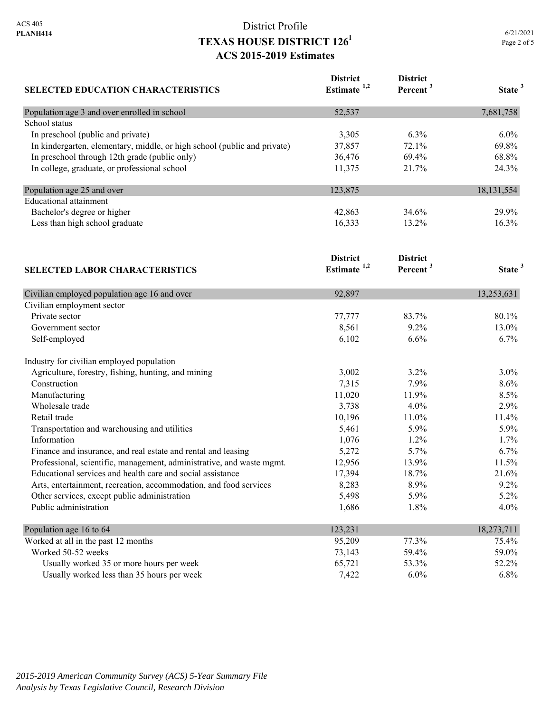## District Profile **TEXAS HOUSE DISTRICT 1261 ACS 2015-2019 Estimates**

| <b>SELECTED EDUCATION CHARACTERISTICS</b>                                | <b>District</b><br>Estimate $1,2$ | <b>District</b><br>Percent <sup>3</sup> | State <sup>3</sup> |
|--------------------------------------------------------------------------|-----------------------------------|-----------------------------------------|--------------------|
| Population age 3 and over enrolled in school                             | 52,537                            |                                         | 7,681,758          |
| School status                                                            |                                   |                                         |                    |
| In preschool (public and private)                                        | 3,305                             | 6.3%                                    | 6.0%               |
| In kindergarten, elementary, middle, or high school (public and private) | 37,857                            | 72.1%                                   | 69.8%              |
| In preschool through 12th grade (public only)                            | 36,476                            | 69.4%                                   | 68.8%              |
| In college, graduate, or professional school                             | 11,375                            | 21.7%                                   | 24.3%              |
| Population age 25 and over                                               | 123,875                           |                                         | 18,131,554         |
| <b>Educational</b> attainment                                            |                                   |                                         |                    |
| Bachelor's degree or higher                                              | 42,863                            | 34.6%                                   | 29.9%              |
| Less than high school graduate                                           | 16,333                            | 13.2%                                   | 16.3%              |
| <b>SELECTED LABOR CHARACTERISTICS</b>                                    | <b>District</b><br>Estimate $1,2$ | <b>District</b><br>Percent <sup>3</sup> | State <sup>3</sup> |
| Civilian employed population age 16 and over                             | 92,897                            |                                         | 13,253,631         |
| Civilian employment sector                                               |                                   |                                         |                    |
| Private sector                                                           | 77,777                            | 83.7%                                   | 80.1%              |
| Government sector                                                        | 8,561                             | 9.2%                                    | 13.0%              |
| Self-employed                                                            | 6,102                             | 6.6%                                    | 6.7%               |
| Industry for civilian employed population                                |                                   |                                         |                    |
| Agriculture, forestry, fishing, hunting, and mining                      | 3,002                             | 3.2%                                    | 3.0%               |
| Construction                                                             | 7,315                             | 7.9%                                    | 8.6%               |
| Manufacturing                                                            | 11,020                            | 11.9%                                   | 8.5%               |
| Wholesale trade                                                          | 3,738                             | 4.0%                                    | 2.9%               |
| Retail trade                                                             | 10,196                            | 11.0%                                   | 11.4%              |
| Transportation and warehousing and utilities                             | 5,461                             | 5.9%                                    | 5.9%               |
| Information                                                              | 1,076                             | 1.2%                                    | 1.7%               |
| Finance and insurance, and real estate and rental and leasing            | 5,272                             | 5.7%                                    | 6.7%               |
| Professional, scientific, management, administrative, and waste mgmt.    | 12,956                            | 13.9%                                   | 11.5%              |
| Educational services and health care and social assistance               | 17,394                            | 18.7%                                   | 21.6%              |
| Arts, entertainment, recreation, accommodation, and food services        | 8,283                             | 8.9%                                    | 9.2%               |
| Other services, except public administration                             | 5,498                             | 5.9%                                    | 5.2%               |
| Public administration                                                    | 1,686                             | 1.8%                                    | 4.0%               |
| Population age 16 to 64                                                  | 123,231                           |                                         | 18,273,711         |
| Worked at all in the past 12 months                                      | 95,209                            | 77.3%                                   | 75.4%              |
| Worked 50-52 weeks                                                       | 73,143                            | 59.4%                                   | 59.0%              |
| Usually worked 35 or more hours per week                                 | 65,721                            | 53.3%                                   | 52.2%              |

Usually worked less than 35 hours per week  $7,422$  6.0% 6.8% 6.8%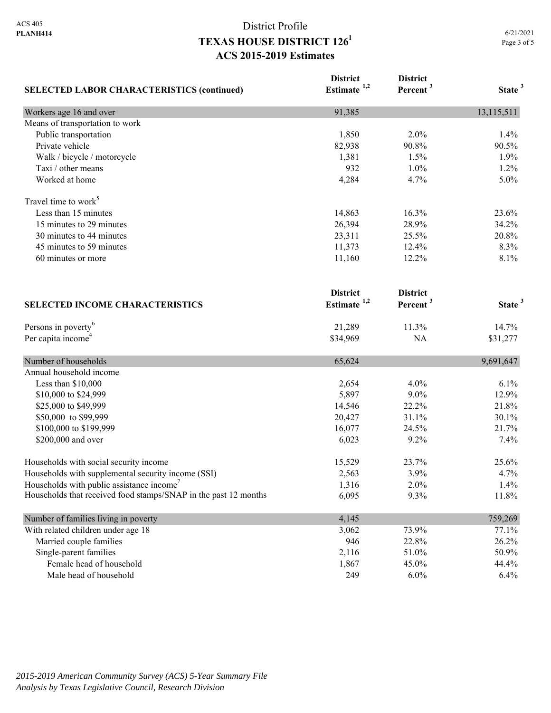# District Profile **TEXAS HOUSE DISTRICT 1261 ACS 2015-2019 Estimates**

|                                                                 | <b>District</b><br>Estimate $1,2$ | <b>District</b><br>Percent <sup>3</sup> | State <sup>3</sup> |
|-----------------------------------------------------------------|-----------------------------------|-----------------------------------------|--------------------|
| <b>SELECTED LABOR CHARACTERISTICS (continued)</b>               |                                   |                                         |                    |
| Workers age 16 and over                                         | 91,385                            |                                         | 13,115,511         |
| Means of transportation to work                                 |                                   |                                         |                    |
| Public transportation                                           | 1,850                             | 2.0%                                    | 1.4%               |
| Private vehicle                                                 | 82,938                            | 90.8%                                   | 90.5%              |
| Walk / bicycle / motorcycle                                     | 1,381                             | 1.5%                                    | 1.9%               |
| Taxi / other means                                              | 932                               | 1.0%                                    | 1.2%               |
| Worked at home                                                  | 4,284                             | 4.7%                                    | 5.0%               |
| Travel time to work <sup>5</sup>                                |                                   |                                         |                    |
| Less than 15 minutes                                            | 14,863                            | 16.3%                                   | 23.6%              |
| 15 minutes to 29 minutes                                        | 26,394                            | 28.9%                                   | 34.2%              |
| 30 minutes to 44 minutes                                        | 23,311                            | 25.5%                                   | 20.8%              |
| 45 minutes to 59 minutes                                        | 11,373                            | 12.4%                                   | 8.3%               |
| 60 minutes or more                                              | 11,160                            | 12.2%                                   | 8.1%               |
|                                                                 | <b>District</b>                   | <b>District</b>                         |                    |
| <b>SELECTED INCOME CHARACTERISTICS</b>                          | Estimate <sup>1,2</sup>           | Percent <sup>3</sup>                    | State <sup>3</sup> |
| Persons in poverty <sup>6</sup>                                 | 21,289                            | 11.3%                                   | 14.7%              |
| Per capita income <sup>4</sup>                                  | \$34,969                          | NA                                      | \$31,277           |
| Number of households                                            | 65,624                            |                                         | 9,691,647          |
| Annual household income                                         |                                   |                                         |                    |
| Less than \$10,000                                              | 2,654                             | 4.0%                                    | 6.1%               |
| \$10,000 to \$24,999                                            | 5,897                             | $9.0\%$                                 | 12.9%              |
| \$25,000 to \$49,999                                            | 14,546                            | 22.2%                                   | 21.8%              |
| \$50,000 to \$99,999                                            | 20,427                            | 31.1%                                   | 30.1%              |
| \$100,000 to \$199,999                                          | 16,077                            | 24.5%                                   | 21.7%              |
| \$200,000 and over                                              | 6,023                             | 9.2%                                    | 7.4%               |
| Households with social security income                          | 15,529                            | 23.7%                                   | 25.6%              |
| Households with supplemental security income (SSI)              | 2,563                             | 3.9%                                    | 4.7%               |
| Households with public assistance income'                       | 1,316                             | 2.0%                                    | 1.4%               |
| Households that received food stamps/SNAP in the past 12 months | 6,095                             | 9.3%                                    | 11.8%              |
| Number of families living in poverty                            | 4,145                             |                                         | 759,269            |
| With related children under age 18                              | 3,062                             | 73.9%                                   | 77.1%              |
| Married couple families                                         | 946                               | 22.8%                                   | 26.2%              |
| Single-parent families                                          | 2,116                             | 51.0%                                   | 50.9%              |
| Female head of household                                        | 1,867                             | 45.0%                                   | 44.4%              |
| Male head of household                                          | 249                               | $6.0\%$                                 | 6.4%               |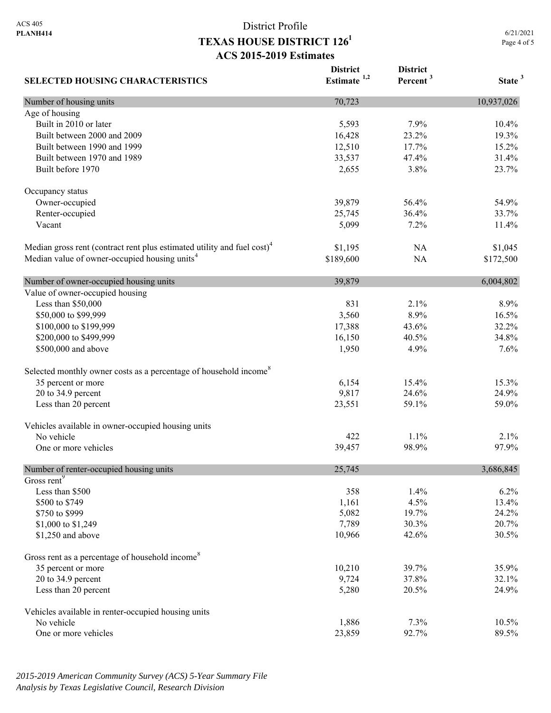Age of housing

Occupancy status

Value of owner-occupied housing

**SELECTED HOUSING CHARACTERISTICS**

## District Profile **TEXAS HOUSE DISTRICT 1261 ACS 2015-2019 Estimates**

Page 4 of 5 **District Estimate 1,2 District Percent <sup>3</sup> State <sup>3</sup>** Number of housing units 10,937,026 Built in 2010 or later 10.4% 10.4% 10.4% 10.4% 10.4% 10.4% 10.4% 10.4% 10.5 and 10.4% 10.4% 10.4% 10.5 and 10.4% Built between 2000 and 2009 16,428 23.2% 19.3% Built between 1990 and 1999 12,510 17.7% 15.2% Built between 1970 and 1989 33,537 47.4% 31.4% Built before 1970 23.7% 23.7% Owner-occupied 39,879 56.4% 54.9% Renter-occupied 25,745 36.4% 33.7% Vacant 11.4% **11.4%** 11.4% **12.5%** 12.9% 12.9% 12.9% 12.9% 12.9% 12.9% 12.9% 12.9% 12.9% 12.9% 12.9% 12.9% 12.9% 12.9% 12.9% 12.9% 12.9% 12.9% 12.9% 12.9% 12.9% 12.9% 12.9% 12.9% 12.9% 12.9% 12.9% 12.9% 12.9% 12.9% 12.9% 1 Median gross rent (contract rent plus estimated utility and fuel  $\cosh^4$  \$1,195 NA \$1,045 Median value of owner-occupied housing units<sup>4</sup> \$189,600 NA \$172,500 Number of owner-occupied housing units 39,879 6,004,802 Less than \$50,000 831 2.1% 8.9% \$50,000 to \$99,999 3,560 8.9% 16.5% 8.9% 16.5%

| \$100,000 to \$199,999                                      | 17,388          | 43.6%         | 32.2%         |
|-------------------------------------------------------------|-----------------|---------------|---------------|
| \$200,000 to \$499,999<br>\$500,000 and above               | 16,150<br>1,950 | 40.5%<br>4.9% | 34.8%<br>7.6% |
|                                                             |                 |               |               |
| 35 percent or more                                          | 6,154           | 15.4%         | 15.3%         |
| 20 to 34.9 percent                                          | 9,817           | 24.6%         | 24.9%         |
| Less than 20 percent                                        | 23,551          | 59.1%         | 59.0%         |
| Vehicles available in owner-occupied housing units          |                 |               |               |
| No vehicle                                                  | 422             | 1.1%          | 2.1%          |
| One or more vehicles                                        | 39,457          | 98.9%         | 97.9%         |
| Number of renter-occupied housing units                     | 25,745          |               | 3,686,845     |
| Gross rent <sup>9</sup>                                     |                 |               |               |
| Less than \$500                                             | 358             | 1.4%          | 6.2%          |
| \$500 to \$749                                              | 1,161           | 4.5%          | 13.4%         |
| \$750 to \$999                                              | 5,082           | 19.7%         | 24.2%         |
| \$1,000 to \$1,249                                          | 7,789           | 30.3%         | 20.7%         |
| \$1,250 and above                                           | 10,966          | 42.6%         | 30.5%         |
| Gross rent as a percentage of household income <sup>8</sup> |                 |               |               |
| 35 percent or more                                          | 10,210          | 39.7%         | 35.9%         |
| 20 to 34.9 percent                                          | 9,724           | 37.8%         | 32.1%         |
| Less than 20 percent                                        | 5,280           | 20.5%         | 24.9%         |
| Vehicles available in renter-occupied housing units         |                 |               |               |
| No vehicle                                                  | 1,886           | 7.3%          | $10.5\%$      |
| One or more vehicles                                        | 23,859          | 92.7%         | 89.5%         |